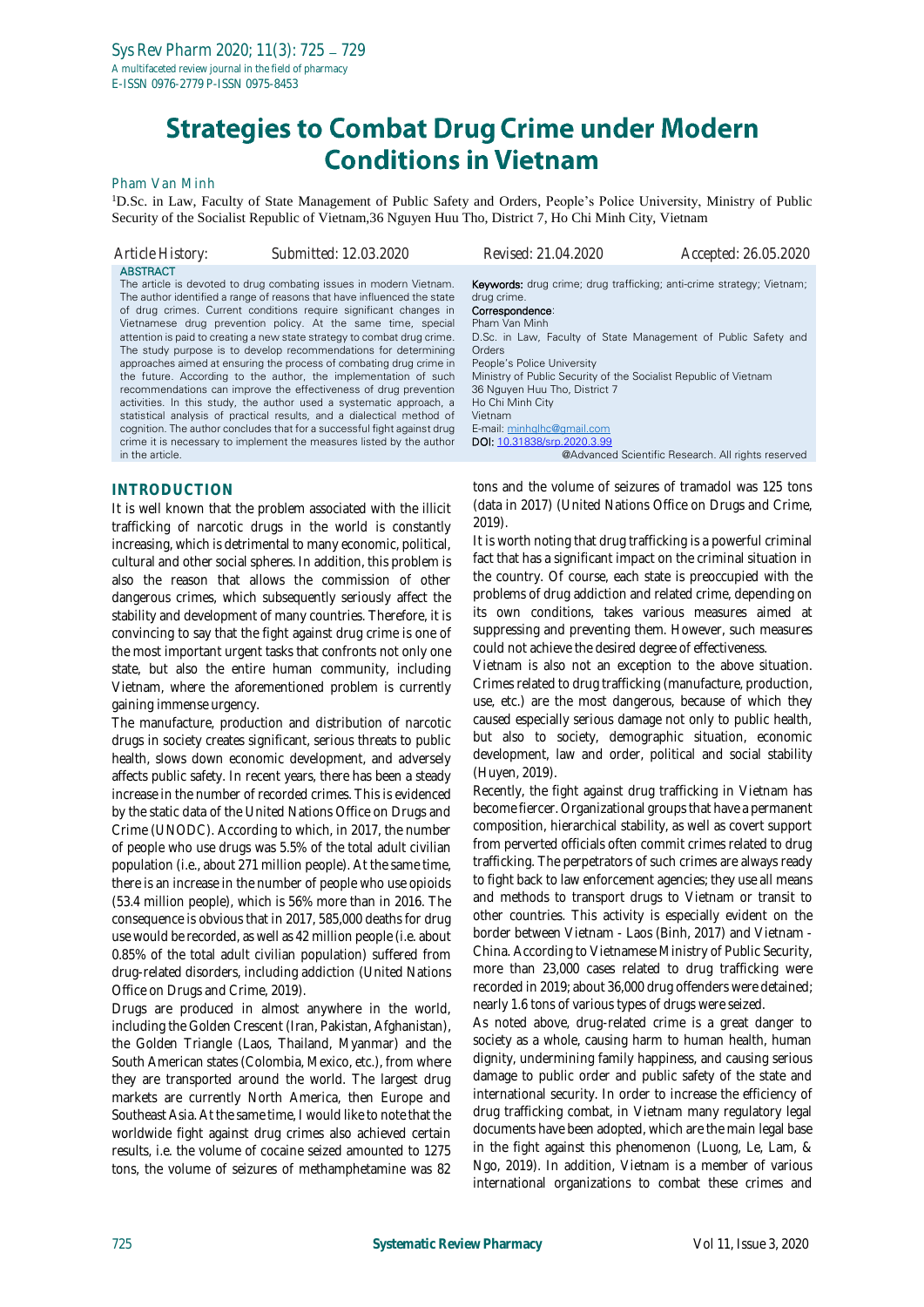# **Strategies to Combat Drug Crime under Modern Conditions in Vietnam**

#### Pham Van Minh

<sup>1</sup>D.Sc. in Law, Faculty of State Management of Public Safety and Orders, People's Police University, Ministry of Public Security of the Socialist Republic of Vietnam,36 Nguyen Huu Tho, District 7, Ho Chi Minh City, Vietnam

*Article History: Submitted: 12.03.2020 Revised: 21.04.2020 Accepted: 26.05.2020* **ABSTRACT** The article is devoted to drug combating issues in modern Vietnam. The author identified a range of reasons that have influenced the state of drug crimes. Current conditions require significant changes in Vietnamese drug prevention policy. At the same time, special attention is paid to creating a new state strategy to combat drug crime. The study purpose is to develop recommendations for determining approaches aimed at ensuring the process of combating drug crime in the future. According to the author, the implementation of such recommendations can improve the effectiveness of drug prevention activities. In this study, the author used a systematic approach, a statistical analysis of practical results, and a dialectical method of cognition. The author concludes that for a successful fight against drug crime it is necessary to implement the measures listed by the author in the article. Keywords: drug crime; drug trafficking; anti-crime strategy; Vietnam; drug crime. Correspondence: Pham Van Minh D.Sc. in Law, Faculty of State Management of Public Safety and **Orders** People's Police University Ministry of Public Security of the Socialist Republic of Vietnam 36 Nguyen Huu Tho, District 7 Ho Chi Minh City Vietnam E-mail[: minhqlhc@gmail.com](mailto:minhqlhc@gmail.com) DOI: [10.31838/srp.2020.3.99](http://dx.doi.org/10.5530/srp.2019.2.04) @Advanced Scientific Research. All rights reserved

#### **INTRODUCTION**

It is well known that the problem associated with the illicit trafficking of narcotic drugs in the world is constantly increasing, which is detrimental to many economic, political, cultural and other social spheres. In addition, this problem is also the reason that allows the commission of other dangerous crimes, which subsequently seriously affect the stability and development of many countries. Therefore, it is convincing to say that the fight against drug crime is one of the most important urgent tasks that confronts not only one state, but also the entire human community, including Vietnam, where the aforementioned problem is currently gaining immense urgency.

The manufacture, production and distribution of narcotic drugs in society creates significant, serious threats to public health, slows down economic development, and adversely affects public safety. In recent years, there has been a steady increase in the number of recorded crimes. This is evidenced by the static data of the United Nations Office on Drugs and Crime (UNODC). According to which, in 2017, the number of people who use drugs was 5.5% of the total adult civilian population (i.e., about 271 million people). At the same time, there is an increase in the number of people who use opioids (53.4 million people), which is 56% more than in 2016. The consequence is obvious that in 2017, 585,000 deaths for drug use would be recorded, as well as 42 million people (i.e. about 0.85% of the total adult civilian population) suffered from drug-related disorders, including addiction (United Nations Office on Drugs and Crime, 2019).

Drugs are produced in almost anywhere in the world, including the Golden Crescent (Iran, Pakistan, Afghanistan), the Golden Triangle (Laos, Thailand, Myanmar) and the South American states (Colombia, Mexico, etc.), from where they are transported around the world. The largest drug markets are currently North America, then Europe and Southeast Asia. At the same time, I would like to note that the worldwide fight against drug crimes also achieved certain results, i.e. the volume of cocaine seized amounted to 1275 tons, the volume of seizures of methamphetamine was 82 tons and the volume of seizures of tramadol was 125 tons (data in 2017) (United Nations Office on Drugs and Crime, 2019).

It is worth noting that drug trafficking is a powerful criminal fact that has a significant impact on the criminal situation in the country. Of course, each state is preoccupied with the problems of drug addiction and related crime, depending on its own conditions, takes various measures aimed at suppressing and preventing them. However, such measures could not achieve the desired degree of effectiveness.

Vietnam is also not an exception to the above situation. Crimes related to drug trafficking (manufacture, production, use, etc.) are the most dangerous, because of which they caused especially serious damage not only to public health, but also to society, demographic situation, economic development, law and order, political and social stability (Huyen, 2019).

Recently, the fight against drug trafficking in Vietnam has become fiercer. Organizational groups that have a permanent composition, hierarchical stability, as well as covert support from perverted officials often commit crimes related to drug trafficking. The perpetrators of such crimes are always ready to fight back to law enforcement agencies; they use all means and methods to transport drugs to Vietnam or transit to other countries. This activity is especially evident on the border between Vietnam - Laos (Binh, 2017) and Vietnam - China. According to Vietnamese Ministry of Public Security, more than 23,000 cases related to drug trafficking were recorded in 2019; about 36,000 drug offenders were detained; nearly 1.6 tons of various types of drugs were seized.

As noted above, drug-related crime is a great danger to society as a whole, causing harm to human health, human dignity, undermining family happiness, and causing serious damage to public order and public safety of the state and international security. In order to increase the efficiency of drug trafficking combat, in Vietnam many regulatory legal documents have been adopted, which are the main legal base in the fight against this phenomenon (Luong, Le, Lam, & Ngo, 2019). In addition, Vietnam is a member of various international organizations to combat these crimes and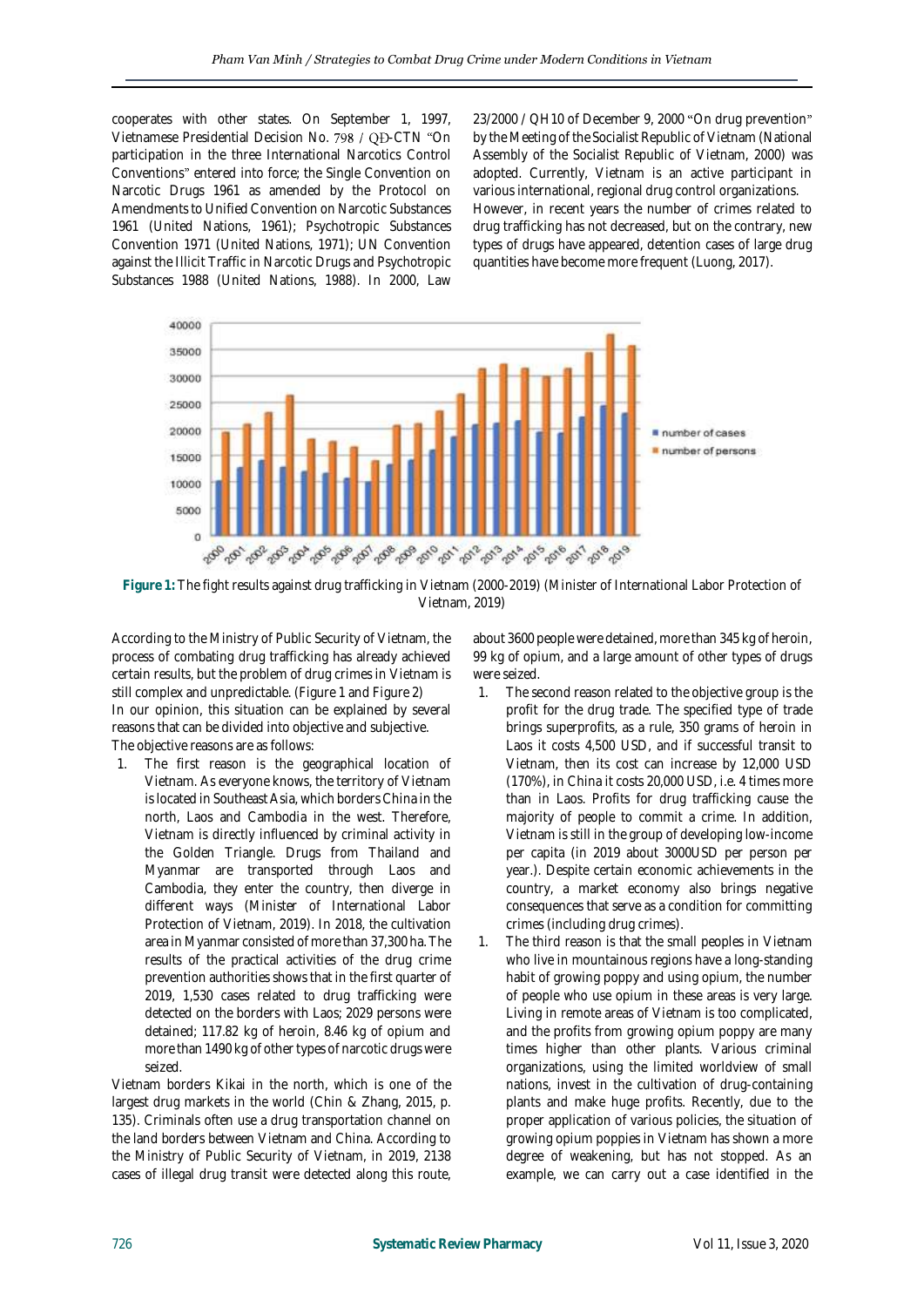cooperates with other states. On September 1, 1997, Vietnamese Presidential Decision No. 798 / QĐ-CTN "On participation in the three International Narcotics Control Conventions" entered into force; the Single Convention on Narcotic Drugs 1961 as amended by the Protocol on Amendments to Unified Convention on Narcotic Substances 1961 (United Nations, 1961); Psychotropic Substances Convention 1971 (United Nations, 1971); UN Convention against the Illicit Traffic in Narcotic Drugs and Psychotropic Substances 1988 (United Nations, 1988). In 2000, Law

23/2000 / QH10 of December 9, 2000 "On drug prevention" by the Meeting of the Socialist Republic of Vietnam (National Assembly of the Socialist Republic of Vietnam, 2000) was adopted. Currently, Vietnam is an active participant in various international, regional drug control organizations. However, in recent years the number of crimes related to drug trafficking has not decreased, but on the contrary, new types of drugs have appeared, detention cases of large drug quantities have become more frequent (Luong, 2017).



**Figure 1:** The fight results against drug trafficking in Vietnam (2000-2019) (Minister of International Labor Protection of Vietnam, 2019)

According to the Ministry of Public Security of Vietnam, the process of combating drug trafficking has already achieved certain results, but the problem of drug crimes in Vietnam is still complex and unpredictable. (Figure 1 and Figure 2) In our opinion, this situation can be explained by several reasons that can be divided into objective and subjective. The objective reasons are as follows:

1. The first reason is the geographical location of Vietnam. As everyone knows, the territory of Vietnam is located in Southeast Asia, which borders China in the north, Laos and Cambodia in the west. Therefore, Vietnam is directly influenced by criminal activity in the Golden Triangle. Drugs from Thailand and Myanmar are transported through Laos and Cambodia, they enter the country, then diverge in different ways (Minister of International Labor Protection of Vietnam, 2019). In 2018, the cultivation area in Myanmar consisted of more than 37,300 ha. The results of the practical activities of the drug crime prevention authorities shows that in the first quarter of 2019, 1,530 cases related to drug trafficking were detected on the borders with Laos; 2029 persons were detained; 117.82 kg of heroin, 8.46 kg of opium and more than 1490 kg of other types of narcotic drugs were seized.

Vietnam borders Kikai in the north, which is one of the largest drug markets in the world (Chin & Zhang, 2015, p. 135). Criminals often use a drug transportation channel on the land borders between Vietnam and China. According to the Ministry of Public Security of Vietnam, in 2019, 2138 cases of illegal drug transit were detected along this route,

about 3600 people were detained, more than 345 kg of heroin, 99 kg of opium, and a large amount of other types of drugs were seized.

- The second reason related to the objective group is the profit for the drug trade. The specified type of trade brings superprofits, as a rule, 350 grams of heroin in Laos it costs 4,500 USD, and if successful transit to Vietnam, then its cost can increase by 12,000 USD (170%), in China it costs 20,000 USD, i.e. 4 times more than in Laos. Profits for drug trafficking cause the majority of people to commit a crime. In addition, Vietnam is still in the group of developing low-income per capita (in 2019 about 3000USD per person per year.). Despite certain economic achievements in the country, a market economy also brings negative consequences that serve as a condition for committing crimes (including drug crimes).
- 1. The third reason is that the small peoples in Vietnam who live in mountainous regions have a long-standing habit of growing poppy and using opium, the number of people who use opium in these areas is very large. Living in remote areas of Vietnam is too complicated, and the profits from growing opium poppy are many times higher than other plants. Various criminal organizations, using the limited worldview of small nations, invest in the cultivation of drug-containing plants and make huge profits. Recently, due to the proper application of various policies, the situation of growing opium poppies in Vietnam has shown a more degree of weakening, but has not stopped. As an example, we can carry out a case identified in the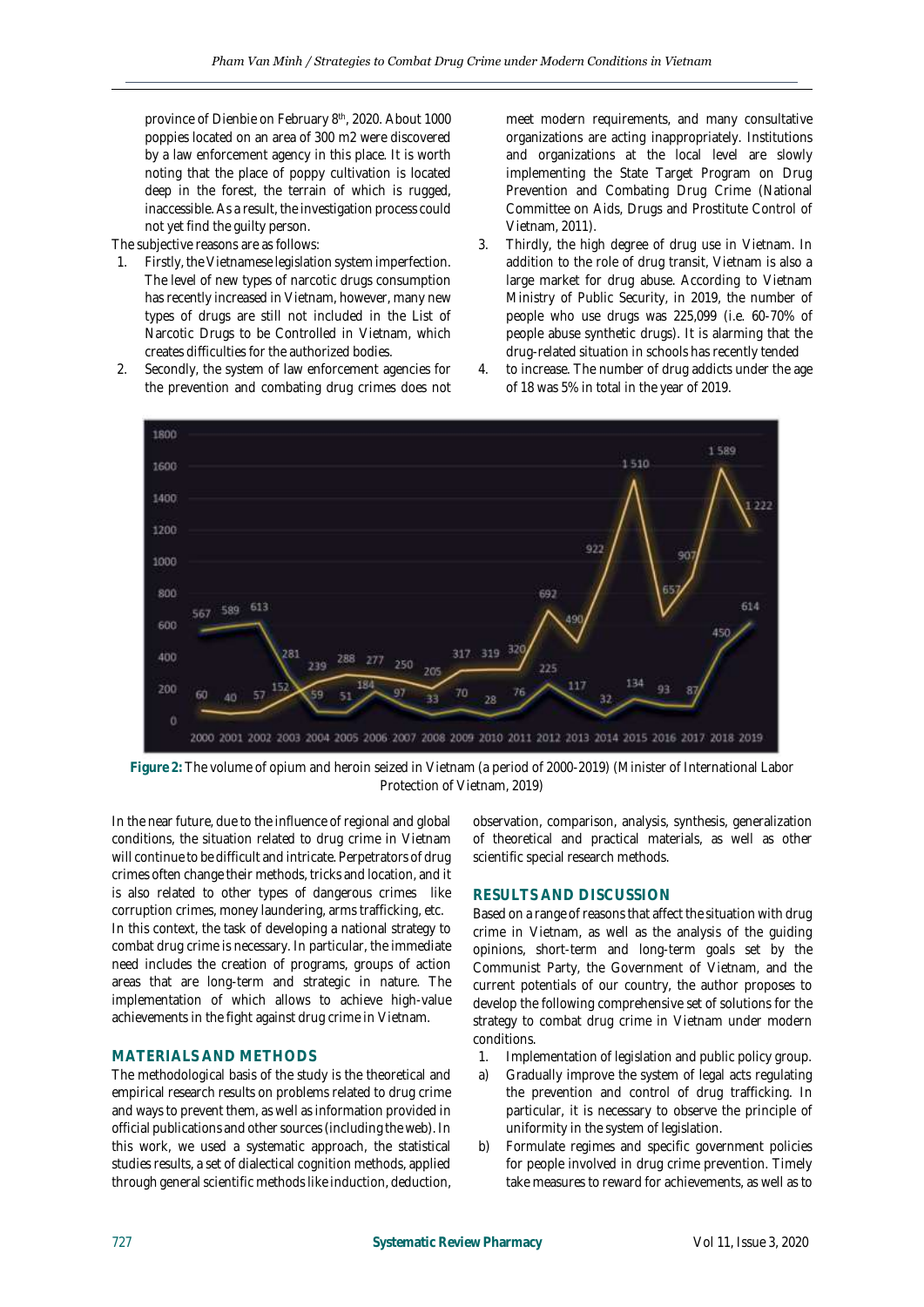province of Dienbie on February 8<sup>th</sup>, 2020. About 1000 poppies located on an area of 300 m2 were discovered by a law enforcement agency in this place. It is worth noting that the place of poppy cultivation is located deep in the forest, the terrain of which is rugged, inaccessible. As a result, the investigation process could not yet find the guilty person.

The subjective reasons are as follows:

- 1. Firstly, the Vietnamese legislation system imperfection. The level of new types of narcotic drugs consumption has recently increased in Vietnam, however, many new types of drugs are still not included in the List of Narcotic Drugs to be Controlled in Vietnam, which creates difficulties for the authorized bodies.
- 2. Secondly, the system of law enforcement agencies for the prevention and combating drug crimes does not

meet modern requirements, and many consultative organizations are acting inappropriately. Institutions and organizations at the local level are slowly implementing the State Target Program on Drug Prevention and Combating Drug Crime (National Committee on Aids, Drugs and Prostitute Control of Vietnam, 2011).

- 3. Thirdly, the high degree of drug use in Vietnam. In addition to the role of drug transit, Vietnam is also a large market for drug abuse. According to Vietnam Ministry of Public Security, in 2019, the number of people who use drugs was 225,099 (i.e. 60-70% of people abuse synthetic drugs). It is alarming that the drug-related situation in schools has recently tended
- 4. to increase. The number of drug addicts under the age of 18 was 5% in total in the year of 2019.



**Figure 2:** The volume of opium and heroin seized in Vietnam (a period of 2000-2019) (Minister of International Labor Protection of Vietnam, 2019)

In the near future, due to the influence of regional and global conditions, the situation related to drug crime in Vietnam will continue to be difficult and intricate. Perpetrators of drug crimes often change their methods, tricks and location, and it is also related to other types of dangerous crimes like corruption crimes, money laundering, arms trafficking, etc. In this context, the task of developing a national strategy to combat drug crime is necessary. In particular, the immediate need includes the creation of programs, groups of action areas that are long-term and strategic in nature. The implementation of which allows to achieve high-value achievements in the fight against drug crime in Vietnam.

### **MATERIALS AND METHODS**

The methodological basis of the study is the theoretical and empirical research results on problems related to drug crime and ways to prevent them, as well as information provided in official publications and other sources (including the web). In this work, we used a systematic approach, the statistical studies results, a set of dialectical cognition methods, applied through general scientific methods like induction, deduction,

observation, comparison, analysis, synthesis, generalization of theoretical and practical materials, as well as other scientific special research methods.

### **RESULTS AND DISCUSSION**

Based on a range of reasons that affect the situation with drug crime in Vietnam, as well as the analysis of the guiding opinions, short-term and long-term goals set by the Communist Party, the Government of Vietnam, and the current potentials of our country, the author proposes to develop the following comprehensive set of solutions for the strategy to combat drug crime in Vietnam under modern conditions.

- 1. Implementation of legislation and public policy group.
- a) Gradually improve the system of legal acts regulating the prevention and control of drug trafficking. In particular, it is necessary to observe the principle of uniformity in the system of legislation.
- b) Formulate regimes and specific government policies for people involved in drug crime prevention. Timely take measures to reward for achievements, as well as to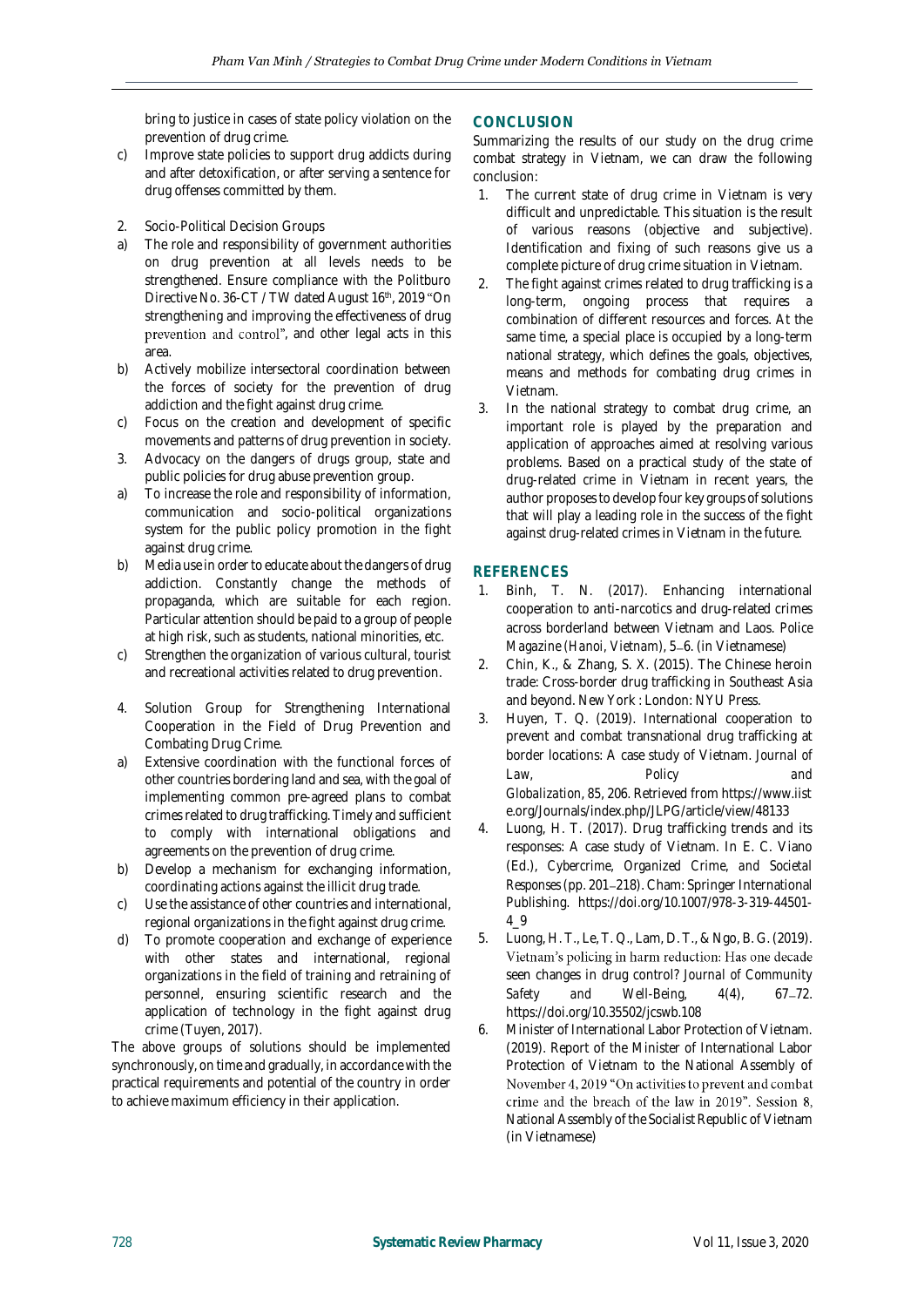bring to justice in cases of state policy violation on the prevention of drug crime.

- c) Improve state policies to support drug addicts during and after detoxification, or after serving a sentence for drug offenses committed by them.
- 2. Socio-Political Decision Groups
- a) The role and responsibility of government authorities on drug prevention at all levels needs to be strengthened. Ensure compliance with the Politburo Directive No. 36-CT / TW dated August 16<sup>th</sup>, 2019 "On strengthening and improving the effectiveness of drug prevention and control", and other legal acts in this area.
- b) Actively mobilize intersectoral coordination between the forces of society for the prevention of drug addiction and the fight against drug crime.
- c) Focus on the creation and development of specific movements and patterns of drug prevention in society.
- 3. Advocacy on the dangers of drugs group, state and public policies for drug abuse prevention group.
- a) To increase the role and responsibility of information, communication and socio-political organizations system for the public policy promotion in the fight against drug crime.
- b) Media use in order to educate about the dangers of drug addiction. Constantly change the methods of propaganda, which are suitable for each region. Particular attention should be paid to a group of people at high risk, such as students, national minorities, etc.
- c) Strengthen the organization of various cultural, tourist and recreational activities related to drug prevention.
- 4. Solution Group for Strengthening International Cooperation in the Field of Drug Prevention and Combating Drug Crime.
- a) Extensive coordination with the functional forces of other countries bordering land and sea, with the goal of implementing common pre-agreed plans to combat crimes related to drug trafficking. Timely and sufficient to comply with international obligations and agreements on the prevention of drug crime.
- b) Develop a mechanism for exchanging information, coordinating actions against the illicit drug trade.
- c) Use the assistance of other countries and international, regional organizations in the fight against drug crime.
- d) To promote cooperation and exchange of experience with other states and international, regional organizations in the field of training and retraining of personnel, ensuring scientific research and the application of technology in the fight against drug crime (Tuyen, 2017).

The above groups of solutions should be implemented synchronously, on time and gradually, in accordance with the practical requirements and potential of the country in order to achieve maximum efficiency in their application.

## **CONCLUSION**

Summarizing the results of our study on the drug crime combat strategy in Vietnam, we can draw the following conclusion:

- 1. The current state of drug crime in Vietnam is very difficult and unpredictable. This situation is the result of various reasons (objective and subjective). Identification and fixing of such reasons give us a complete picture of drug crime situation in Vietnam.
- 2. The fight against crimes related to drug trafficking is a long-term, ongoing process that requires a combination of different resources and forces. At the same time, a special place is occupied by a long-term national strategy, which defines the goals, objectives, means and methods for combating drug crimes in Vietnam.
- 3. In the national strategy to combat drug crime, an important role is played by the preparation and application of approaches aimed at resolving various problems. Based on a practical study of the state of drug-related crime in Vietnam in recent years, the author proposes to develop four key groups of solutions that will play a leading role in the success of the fight against drug-related crimes in Vietnam in the future.

# **REFERENCES**

- 1. Binh, T. N. (2017). Enhancing international cooperation to anti-narcotics and drug-related crimes across borderland between Vietnam and Laos. *Police Magazine (Hanoi, Vietnam)*, 5–6. (in Vietnamese)
- 2. Chin, K., & Zhang, S. X. (2015). The Chinese heroin trade: Cross-border drug trafficking in Southeast Asia and beyond. New York : London: NYU Press.
- 3. Huyen, T. Q. (2019). International cooperation to prevent and combat transnational drug trafficking at border locations: A case study of Vietnam. *Journal of Law, Policy and Globalization*, *85*, 206. Retrieved from https://www.iist e.org/Journals/index.php/JLPG/article/view/48133
- 4. Luong, H. T. (2017). Drug trafficking trends and its responses: A case study of Vietnam. In E. C. Viano (Ed.), *Cybercrime, Organized Crime, and Societal Responses* (pp. 201 218). Cham: Springer International Publishing. https://doi.org/10.1007/978-3-319-44501- 4\_9
- 5. Luong, H. T., Le, T. Q., Lam, D. T., & Ngo, B. G. (2019). Vietnam's policing in harm reduction: Has one decade seen changes in drug control? *Journal of Community Safety* and *Well-Being*, 4(4), 67–72. https://doi.org/10.35502/jcswb.108
- 6. Minister of International Labor Protection of Vietnam. (2019). Report of the Minister of International Labor Protection of Vietnam to the National Assembly of November 4, 2019 "On activities to prevent and combat crime and the breach of the law in 2019". Session 8, National Assembly of the Socialist Republic of Vietnam (in Vietnamese)